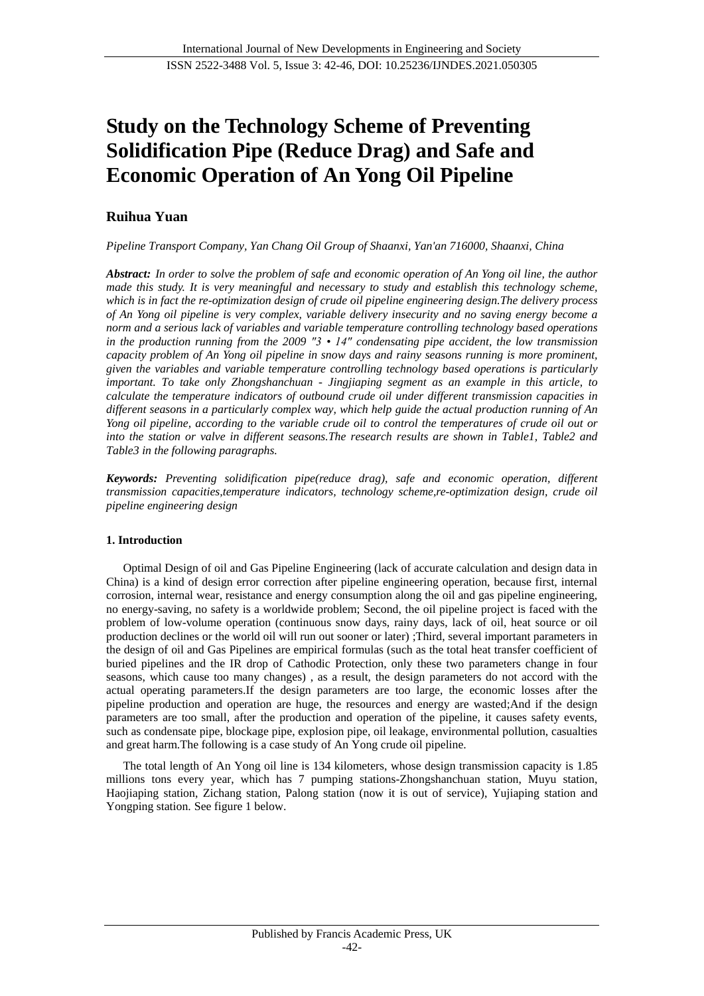# **Study on the Technology Scheme of Preventing Solidification Pipe (Reduce Drag) and Safe and Economic Operation of An Yong Oil Pipeline**

# **Ruihua Yuan**

*Pipeline Transport Company, Yan Chang Oil Group of Shaanxi, Yan'an 716000, Shaanxi, China*

*Abstract: In order to solve the problem of safe and economic operation of An Yong oil line, the author made this study. It is very meaningful and necessary to study and establish this technology scheme, which is in fact the re-optimization design of crude oil pipeline engineering design.The delivery process of An Yong oil pipeline is very complex, variable delivery insecurity and no saving energy become a norm and a serious lack of variables and variable temperature controlling technology based operations in the production running from the 2009 "3 • 14" condensating pipe accident, the low transmission capacity problem of An Yong oil pipeline in snow days and rainy seasons running is more prominent, given the variables and variable temperature controlling technology based operations is particularly important. To take only Zhongshanchuan - Jingjiaping segment as an example in this article, to calculate the temperature indicators of outbound crude oil under different transmission capacities in different seasons in a particularly complex way, which help guide the actual production running of An Yong oil pipeline, according to the variable crude oil to control the temperatures of crude oil out or into the station or valve in different seasons.The research results are shown in Table1, Table2 and Table3 in the following paragraphs.*

*Keywords: Preventing solidification pipe(reduce drag), safe and economic operation, different transmission capacities,temperature indicators, technology scheme,re-optimization design, crude oil pipeline engineering design*

## **1. Introduction**

Optimal Design of oil and Gas Pipeline Engineering (lack of accurate calculation and design data in China) is a kind of design error correction after pipeline engineering operation, because first, internal corrosion, internal wear, resistance and energy consumption along the oil and gas pipeline engineering, no energy-saving, no safety is a worldwide problem; Second, the oil pipeline project is faced with the problem of low-volume operation (continuous snow days, rainy days, lack of oil, heat source or oil production declines or the world oil will run out sooner or later) ;Third, several important parameters in the design of oil and Gas Pipelines are empirical formulas (such as the total heat transfer coefficient of buried pipelines and the IR drop of Cathodic Protection, only these two parameters change in four seasons, which cause too many changes) , as a result, the design parameters do not accord with the actual operating parameters.If the design parameters are too large, the economic losses after the pipeline production and operation are huge, the resources and energy are wasted;And if the design parameters are too small, after the production and operation of the pipeline, it causes safety events, such as condensate pipe, blockage pipe, explosion pipe, oil leakage, environmental pollution, casualties and great harm.The following is a case study of An Yong crude oil pipeline.

The total length of An Yong oil line is 134 kilometers, whose design transmission capacity is 1.85 millions tons every year, which has 7 pumping stations-Zhongshanchuan station, Muyu station, Haojiaping station, Zichang station, Palong station (now it is out of service), Yujiaping station and Yongping station. See figure 1 below.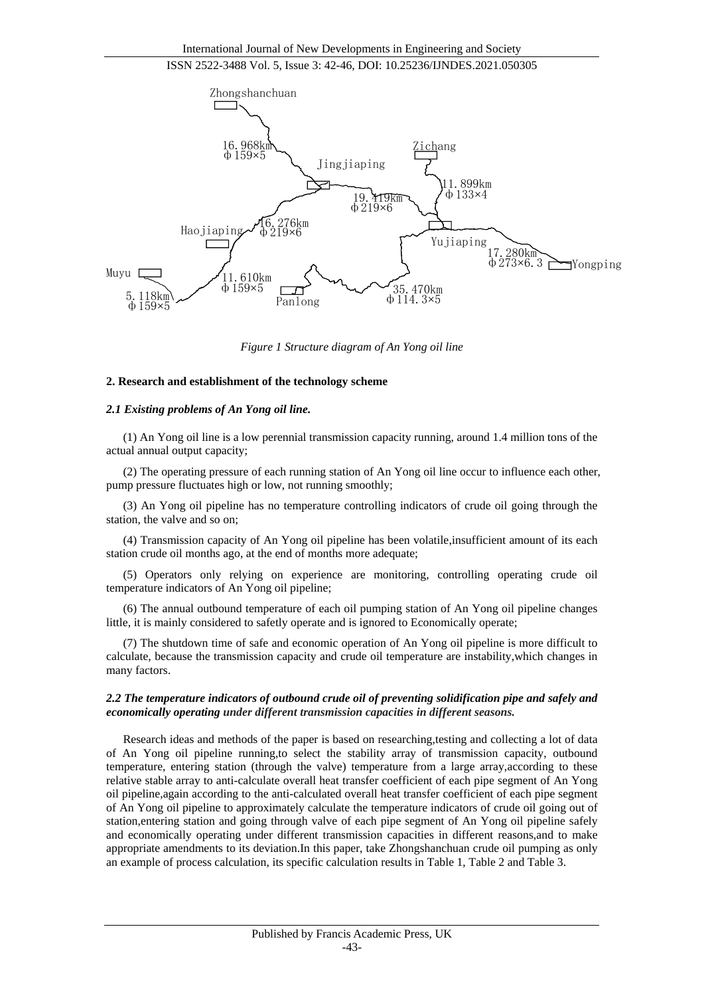

*Figure 1 Structure diagram of An Yong oil line*

#### **2. Research and establishment of the technology scheme**

#### *2.1 Existing problems of An Yong oil line.*

(1) An Yong oil line is a low perennial transmission capacity running, around 1.4 million tons of the actual annual output capacity;

(2) The operating pressure of each running station of An Yong oil line occur to influence each other, pump pressure fluctuates high or low, not running smoothly;

(3) An Yong oil pipeline has no temperature controlling indicators of crude oil going through the station, the valve and so on;

(4) Transmission capacity of An Yong oil pipeline has been volatile,insufficient amount of its each station crude oil months ago, at the end of months more adequate;

(5) Operators only relying on experience are monitoring, controlling operating crude oil temperature indicators of An Yong oil pipeline;

(6) The annual outbound temperature of each oil pumping station of An Yong oil pipeline changes little, it is mainly considered to safetly operate and is ignored to Economically operate;

(7) The shutdown time of safe and economic operation of An Yong oil pipeline is more difficult to calculate, because the transmission capacity and crude oil temperature are instability,which changes in many factors.

#### *2.2 The temperature indicators of outbound crude oil of preventing solidification pipe and safely and economically operating under different transmission capacities in different seasons.*

Research ideas and methods of the paper is based on researching,testing and collecting a lot of data of An Yong oil pipeline running,to select the stability array of transmission capacity, outbound temperature, entering station (through the valve) temperature from a large array,according to these relative stable array to anti-calculate overall heat transfer coefficient of each pipe segment of An Yong oil pipeline,again according to the anti-calculated overall heat transfer coefficient of each pipe segment of An Yong oil pipeline to approximately calculate the temperature indicators of crude oil going out of station,entering station and going through valve of each pipe segment of An Yong oil pipeline safely and economically operating under different transmission capacities in different reasons,and to make appropriate amendments to its deviation.In this paper, take Zhongshanchuan crude oil pumping as only an example of process calculation, its specific calculation results in Table 1, Table 2 and Table 3.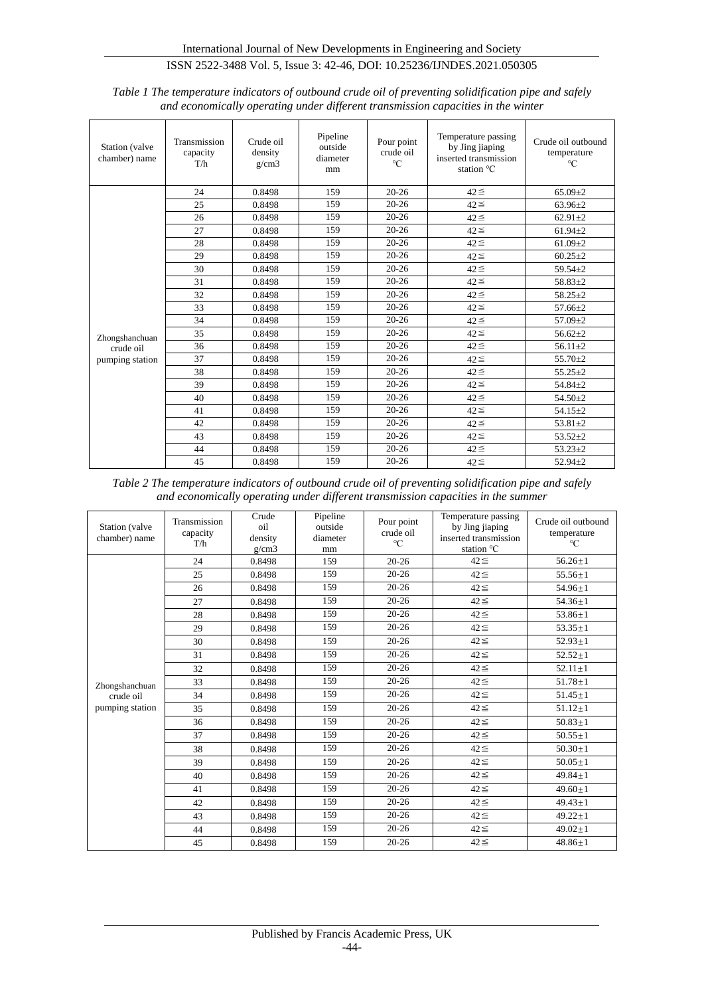| Station (valve<br>chamber) name | Transmission<br>capacity<br>T/h | Crude oil<br>density<br>g/cm3 | Pipeline<br>outside<br>diameter<br>mm | Pour point<br>crude oil<br>$\rm ^{\circ}C$ | Temperature passing<br>by Jing jiaping<br>inserted transmission<br>station °C | Crude oil outbound<br>temperature<br>$\rm ^{\circ}C$ |
|---------------------------------|---------------------------------|-------------------------------|---------------------------------------|--------------------------------------------|-------------------------------------------------------------------------------|------------------------------------------------------|
|                                 | 24                              | 0.8498                        | 159                                   | $20 - 26$                                  | $42 \leq$                                                                     | $65.09 + 2$                                          |
|                                 | 25                              | 0.8498                        | 159                                   | $20 - 26$                                  | $42 \leq$                                                                     | $63.96 + 2$                                          |
|                                 | 26                              | 0.8498                        | 159                                   | $20 - 26$                                  | $42 \leq$                                                                     | $62.91 + 2$                                          |
|                                 | 27                              | 0.8498                        | 159                                   | $20 - 26$                                  | $42 \leq$                                                                     | $61.94 + 2$                                          |
|                                 | 28                              | 0.8498                        | 159                                   | $20 - 26$                                  | $42 \leq$                                                                     | $61.09 + 2$                                          |
|                                 | 29                              | 0.8498                        | 159                                   | $20 - 26$                                  | $42 \leq$                                                                     | $60.25 + 2$                                          |
|                                 | 30                              | 0.8498                        | 159                                   | $20 - 26$                                  | $42 \leq$                                                                     | $59.54 + 2$                                          |
|                                 | 31                              | 0.8498                        | 159                                   | $20 - 26$                                  | $42 \leq$                                                                     | $58.83 + 2$                                          |
|                                 | 32                              | 0.8498                        | 159                                   | $20 - 26$                                  | $42 \leq$                                                                     | $58.25 + 2$                                          |
|                                 | 33                              | 0.8498                        | 159                                   | $20 - 26$                                  | $42 \leq$                                                                     | $57.66 \pm 2$                                        |
|                                 | 34                              | 0.8498                        | 159                                   | $20 - 26$                                  | $42 \leq$                                                                     | $57.09 \pm 2$                                        |
| Zhongshanchuan                  | 35                              | 0.8498                        | 159                                   | $20 - 26$                                  | $42 \leq$                                                                     | $56.62 + 2$                                          |
| crude oil<br>pumping station    | 36                              | 0.8498                        | 159                                   | $20 - 26$                                  | $42 \leq$                                                                     | $56.11 \pm 2$                                        |
|                                 | 37                              | 0.8498                        | 159                                   | $20 - 26$                                  | $42 \leq$                                                                     | $55.70 + 2$                                          |
|                                 | 38                              | 0.8498                        | 159                                   | $20 - 26$                                  | $42 \leq$                                                                     | $55.25 + 2$                                          |
|                                 | 39                              | 0.8498                        | 159                                   | $20 - 26$                                  | $42 \leq$                                                                     | $54.84 + 2$                                          |
|                                 | 40                              | 0.8498                        | 159                                   | $20 - 26$                                  | $42 \leq$                                                                     | $54.50 + 2$                                          |
|                                 | 41                              | 0.8498                        | 159                                   | $20 - 26$                                  | $42 \leq$                                                                     | $54.15 + 2$                                          |
|                                 | 42                              | 0.8498                        | 159                                   | $20 - 26$                                  | $42 \leq$                                                                     | $53.81 + 2$                                          |
|                                 | 43                              | 0.8498                        | 159                                   | $20 - 26$                                  | $42 \leq$                                                                     | $53.52 + 2$                                          |
|                                 | 44                              | 0.8498                        | 159                                   | $20 - 26$                                  | $42 \leq$                                                                     | $53.23 + 2$                                          |
|                                 | 45                              | 0.8498                        | 159                                   | $20 - 26$                                  | $42 \leq$                                                                     | $52.94 + 2$                                          |

*Table 1 The temperature indicators of outbound crude oil of preventing solidification pipe and safely and economically operating under different transmission capacities in the winter*

*Table 2 The temperature indicators of outbound crude oil of preventing solidification pipe and safely and economically operating under different transmission capacities in the summer*

| Station (valve<br>chamber) name | Transmission<br>capacity<br>T/h | Crude<br>oil<br>density<br>g/cm3 | Pipeline<br>outside<br>diameter<br>mm | Pour point<br>crude oil<br>$\rm ^{\circ}C$ | Temperature passing<br>by Jing jiaping<br>inserted transmission<br>station °C | Crude oil outbound<br>temperature<br>$\rm ^{\circ}C$ |
|---------------------------------|---------------------------------|----------------------------------|---------------------------------------|--------------------------------------------|-------------------------------------------------------------------------------|------------------------------------------------------|
| Zhongshanchuan<br>crude oil     | 24                              | 0.8498                           | 159                                   | $20 - 26$                                  | $42 \leq$                                                                     | $56.26 + 1$                                          |
|                                 | 25                              | 0.8498                           | 159                                   | $20 - 26$                                  | $42 \leq$                                                                     | $55.56 + 1$                                          |
|                                 | 26                              | 0.8498                           | 159                                   | $20 - 26$                                  | $42 \leq$                                                                     | $54.96 \pm 1$                                        |
|                                 | 27                              | 0.8498                           | 159                                   | $20 - 26$                                  | $42 \leq$                                                                     | $54.36 + 1$                                          |
|                                 | 28                              | 0.8498                           | 159                                   | $20 - 26$                                  | $42 \leq$                                                                     | $53.86 \pm 1$                                        |
|                                 | 29                              | 0.8498                           | 159                                   | $20 - 26$                                  | $42 \leq$                                                                     | $53.35 \pm 1$                                        |
|                                 | 30                              | 0.8498                           | 159                                   | $20 - 26$                                  | $42 \leq$                                                                     | $52.93 + 1$                                          |
|                                 | 31                              | 0.8498                           | 159                                   | $20 - 26$                                  | $42 \leq$                                                                     | $52.52 + 1$                                          |
|                                 | 32                              | 0.8498                           | 159                                   | $20 - 26$                                  | $42 \leq$                                                                     | $52.11 \pm 1$                                        |
|                                 | 33                              | 0.8498                           | 159                                   | $20 - 26$                                  | $42 \leq$                                                                     | $51.78 + 1$                                          |
|                                 | 34                              | 0.8498                           | 159                                   | $20 - 26$                                  | $42 \leq$                                                                     | $51.45 \pm 1$                                        |
| pumping station                 | 35                              | 0.8498                           | 159                                   | $20 - 26$                                  | $42 \leq$                                                                     | $51.12 + 1$                                          |
|                                 | 36                              | 0.8498                           | 159                                   | $20 - 26$                                  | $42 \leq$                                                                     | $50.83 \pm 1$                                        |
|                                 | 37                              | 0.8498                           | 159                                   | $20 - 26$                                  | $42 \leq$                                                                     | $50.55 \pm 1$                                        |
|                                 | 38                              | 0.8498                           | 159                                   | $20 - 26$                                  | $42 \leq$                                                                     | $50.30 \pm 1$                                        |
|                                 | 39                              | 0.8498                           | 159                                   | $20 - 26$                                  | $42 \leq$                                                                     | $50.05 \pm 1$                                        |
|                                 | 40                              | 0.8498                           | 159                                   | $20 - 26$                                  | $42 \leq$                                                                     | $49.84 + 1$                                          |
|                                 | 41                              | 0.8498                           | 159                                   | $20 - 26$                                  | $42 \leq$                                                                     | $49.60 \pm 1$                                        |
|                                 | 42                              | 0.8498                           | 159                                   | $20 - 26$                                  | $42 \leq$                                                                     | $49.43 + 1$                                          |
|                                 | 43                              | 0.8498                           | 159                                   | $20 - 26$                                  | $42 \leq$                                                                     | $49.22 \pm 1$                                        |
|                                 | 44                              | 0.8498                           | 159                                   | $20 - 26$                                  | $42 \leq$                                                                     | $49.02 + 1$                                          |
|                                 | 45                              | 0.8498                           | 159                                   | $20 - 26$                                  | $42 \leq$                                                                     | $48.86 \pm 1$                                        |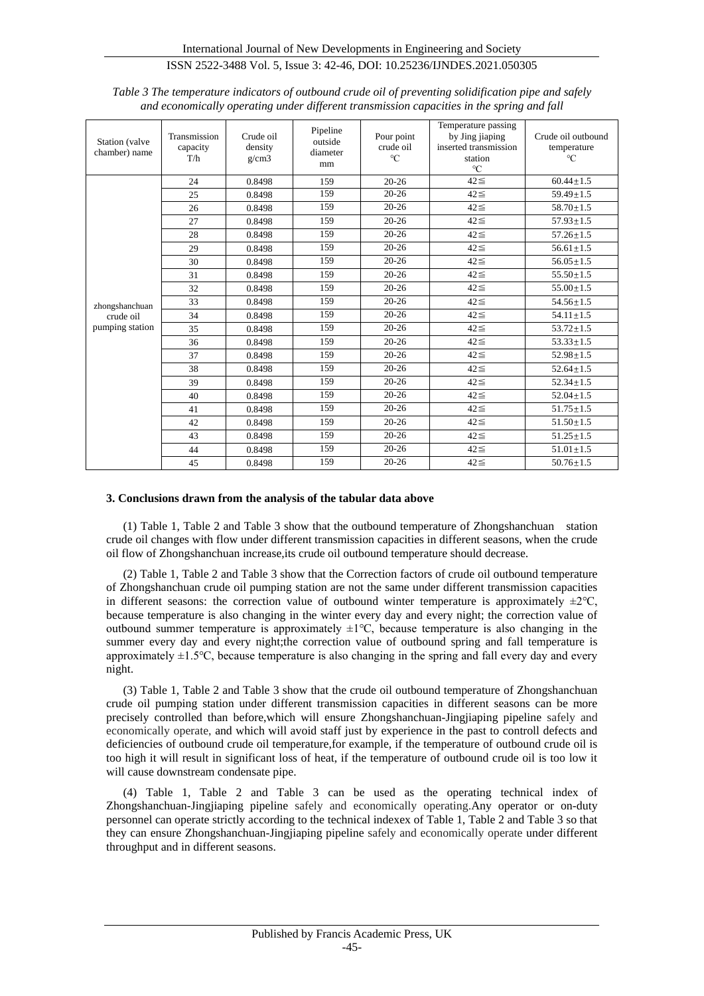| Station (valve<br>chamber) name                | Transmission<br>capacity<br>T/h | Crude oil<br>density<br>g/cm3 | Pipeline<br>outside<br>diameter<br>mm | Pour point<br>crude oil<br>$\rm ^{\circ}C$ | Temperature passing<br>by Jing jiaping<br>inserted transmission<br>station<br>$\rm ^{\circ}C$ | Crude oil outbound<br>temperature<br>$\rm ^{\circ}C$ |
|------------------------------------------------|---------------------------------|-------------------------------|---------------------------------------|--------------------------------------------|-----------------------------------------------------------------------------------------------|------------------------------------------------------|
| zhongshanchuan<br>crude oil<br>pumping station | 24                              | 0.8498                        | 159                                   | $20 - 26$                                  | $42 \leq$                                                                                     | $60.44 \pm 1.5$                                      |
|                                                | 25                              | 0.8498                        | 159                                   | $20 - 26$                                  | $42 \leq$                                                                                     | $59.49 + 1.5$                                        |
|                                                | 26                              | 0.8498                        | 159                                   | $20 - 26$                                  | $42 \leq$                                                                                     | $58.70 + 1.5$                                        |
|                                                | 27                              | 0.8498                        | 159                                   | $20 - 26$                                  | $42 \leq$                                                                                     | $57.93 + 1.5$                                        |
|                                                | 28                              | 0.8498                        | 159                                   | $20 - 26$                                  | $42 \leq$                                                                                     | $57.26 \pm 1.5$                                      |
|                                                | 29                              | 0.8498                        | 159                                   | $20 - 26$                                  | $42 \leq$                                                                                     | $56.61 \pm 1.5$                                      |
|                                                | 30                              | 0.8498                        | 159                                   | $20 - 26$                                  | $42 \leq$                                                                                     | $56.05 \pm 1.5$                                      |
|                                                | 31                              | 0.8498                        | 159                                   | $20 - 26$                                  | $42 \leq$                                                                                     | $55.50 \pm 1.5$                                      |
|                                                | 32                              | 0.8498                        | 159                                   | $20 - 26$                                  | $42 \leq$                                                                                     | $55.00 + 1.5$                                        |
|                                                | 33                              | 0.8498                        | 159                                   | $20 - 26$                                  | $42 \leq$                                                                                     | $54.56 \pm 1.5$                                      |
|                                                | 34                              | 0.8498                        | 159                                   | $20 - 26$                                  | $42 \leq$                                                                                     | $54.11 \pm 1.5$                                      |
|                                                | 35                              | 0.8498                        | 159                                   | $20 - 26$                                  | $42 \leq$                                                                                     | $53.72 \pm 1.5$                                      |
|                                                | 36                              | 0.8498                        | 159                                   | $20 - 26$                                  | $42 \leq$                                                                                     | $53.33 \pm 1.5$                                      |
|                                                | 37                              | 0.8498                        | 159                                   | $20 - 26$                                  | $42 \leq$                                                                                     | $52.98 \pm 1.5$                                      |
|                                                | 38                              | 0.8498                        | 159                                   | $20 - 26$                                  | $42 \leq$                                                                                     | $52.64 \pm 1.5$                                      |
|                                                | 39                              | 0.8498                        | 159                                   | $20 - 26$                                  | $42 \leq$                                                                                     | $52.34 \pm 1.5$                                      |
|                                                | 40                              | 0.8498                        | 159                                   | $20 - 26$                                  | $42 \leq$                                                                                     | $52.04 + 1.5$                                        |
|                                                | 41                              | 0.8498                        | 159                                   | $20 - 26$                                  | $42 \leq$                                                                                     | $51.75 \pm 1.5$                                      |
|                                                | 42                              | 0.8498                        | 159                                   | $20 - 26$                                  | $42 \leq$                                                                                     | $51.50 \pm 1.5$                                      |
|                                                | 43                              | 0.8498                        | 159                                   | $20 - 26$                                  | $42 \leq$                                                                                     | $51.25 \pm 1.5$                                      |
|                                                | 44                              | 0.8498                        | 159                                   | $20 - 26$                                  | $42 \leq$                                                                                     | $51.01 \pm 1.5$                                      |
|                                                | 45                              | 0.8498                        | 159                                   | $20 - 26$                                  | $42 \leq$                                                                                     | $50.76 + 1.5$                                        |

*Table 3 The temperature indicators of outbound crude oil of preventing solidification pipe and safely and economically operating under different transmission capacities in the spring and fall*

## **3. Conclusions drawn from the analysis of the tabular data above**

(1) Table 1, Table 2 and Table 3 show that the outbound temperature of Zhongshanchuan station crude oil changes with flow under different transmission capacities in different seasons, when the crude oil flow of Zhongshanchuan increase,its crude oil outbound temperature should decrease.

(2) Table 1, Table 2 and Table 3 show that the Correction factors of crude oil outbound temperature of Zhongshanchuan crude oil pumping station are not the same under different transmission capacities in different seasons: the correction value of outbound winter temperature is approximately  $\pm 2^{\circ}C$ , because temperature is also changing in the winter every day and every night; the correction value of outbound summer temperature is approximately ±1℃, because temperature is also changing in the summer every day and every night; the correction value of outbound spring and fall temperature is approximately ±1.5℃, because temperature is also changing in the spring and fall every day and every night.

(3) Table 1, Table 2 and Table 3 show that the crude oil outbound temperature of Zhongshanchuan crude oil pumping station under different transmission capacities in different seasons can be more precisely controlled than before,which will ensure Zhongshanchuan-Jingjiaping pipeline safely and economically operate, and which will avoid staff just by experience in the past to controll defects and deficiencies of outbound crude oil temperature,for example, if the temperature of outbound crude oil is too high it will result in significant loss of heat, if the temperature of outbound crude oil is too low it will cause downstream condensate pipe.

(4) Table 1, Table 2 and Table 3 can be used as the operating technical index of Zhongshanchuan-Jingjiaping pipeline safely and economically operating.Any operator or on-duty personnel can operate strictly according to the technical indexex of Table 1, Table 2 and Table 3 so that they can ensure Zhongshanchuan-Jingjiaping pipeline safely and economically operate under different throughput and in different seasons.